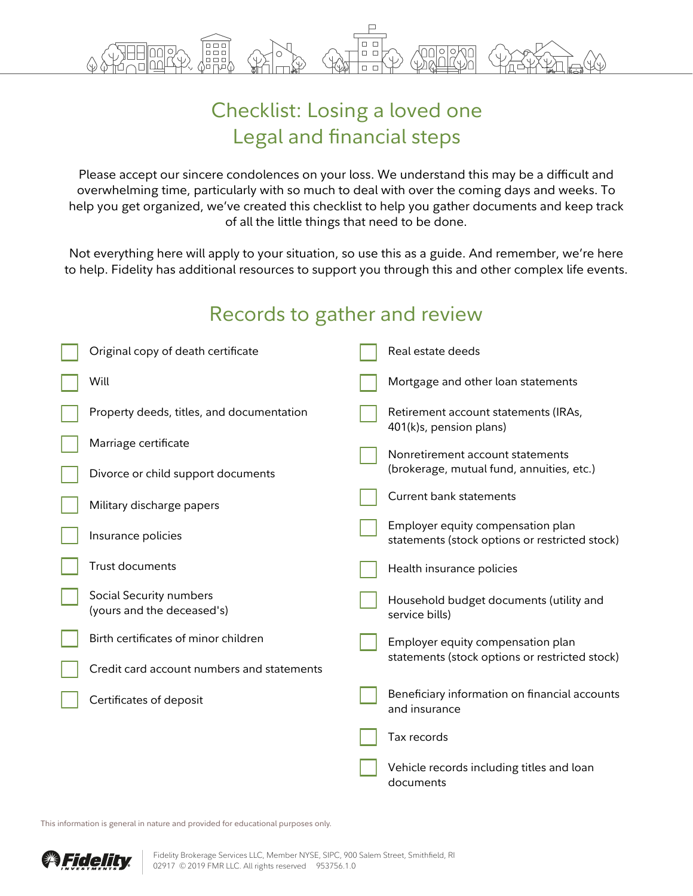

## Checklist: Losing a loved one Legal and financial steps

Please accept our sincere condolences on your loss. We understand this may be a difficult and overwhelming time, particularly with so much to deal with over the coming days and weeks. To help you get organized, we've created this checklist to help you gather documents and keep track of all the little things that need to be done.

Not everything here will apply to your situation, so use this as a guide. And remember, we're here to help. Fidelity has additional resources to support you through this and other complex life events.

## Records to gather and review

| Original copy of death certificate                    |  | Real estate deeds                                                                   |
|-------------------------------------------------------|--|-------------------------------------------------------------------------------------|
| Will                                                  |  | Mortgage and other loan statements                                                  |
| Property deeds, titles, and documentation             |  | Retirement account statements (IRAs,<br>401(k)s, pension plans)                     |
| Marriage certificate                                  |  | Nonretirement account statements                                                    |
| Divorce or child support documents                    |  | (brokerage, mutual fund, annuities, etc.)                                           |
| Military discharge papers                             |  | <b>Current bank statements</b>                                                      |
| Insurance policies                                    |  | Employer equity compensation plan<br>statements (stock options or restricted stock) |
| <b>Trust documents</b>                                |  | Health insurance policies                                                           |
| Social Security numbers<br>(yours and the deceased's) |  | Household budget documents (utility and<br>service bills)                           |
| Birth certificates of minor children                  |  | Employer equity compensation plan<br>statements (stock options or restricted stock) |
| Credit card account numbers and statements            |  |                                                                                     |
| Certificates of deposit                               |  | Beneficiary information on financial accounts<br>and insurance                      |
|                                                       |  | Tax records                                                                         |
|                                                       |  | Vehicle records including titles and loan<br>documents                              |

This information is general in nature and provided for educational purposes only.